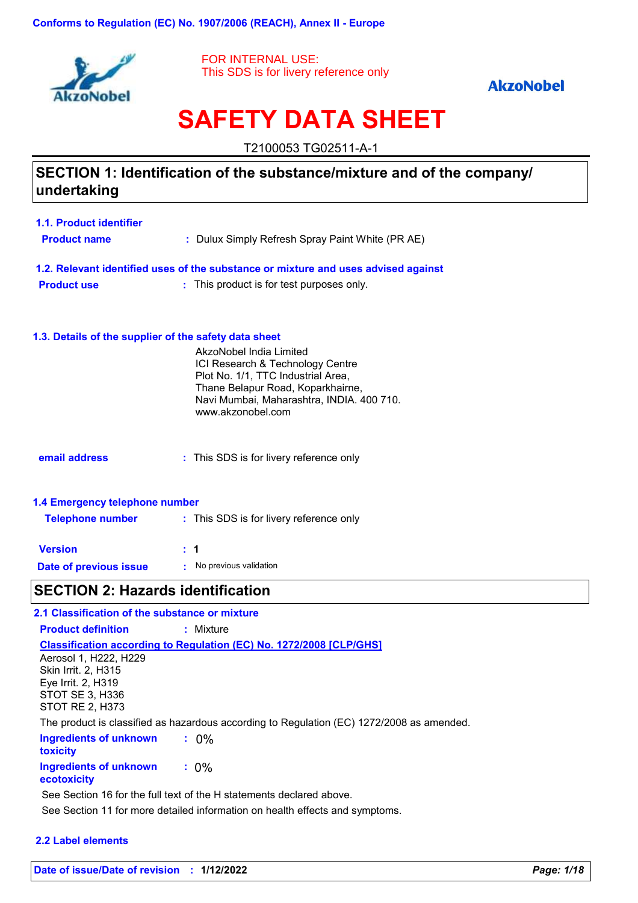

FOR INTERNAL USE: This SDS is for livery reference only

### **AkzoNobel**

# **SAFETY DATA SHEET**

T2100053 TG02511-A-1

## **SECTION 1: Identification of the substance/mixture and of the company/ undertaking**

| 1.1. Product identifier |                                                                                    |
|-------------------------|------------------------------------------------------------------------------------|
| <b>Product name</b>     | : Dulux Simply Refresh Spray Paint White (PR AE)                                   |
|                         | 1.2. Relevant identified uses of the substance or mixture and uses advised against |
| <b>Product use</b>      | : This product is for test purposes only.                                          |
|                         |                                                                                    |

#### **1.3. Details of the supplier of the safety data sheet**

|                                                           | AkzoNobel India Limited<br>ICI Research & Technology Centre<br>Plot No. 1/1, TTC Industrial Area,<br>Thane Belapur Road, Koparkhairne,<br>Navi Mumbai, Maharashtra, INDIA. 400 710.<br>www.akzonobel.com |
|-----------------------------------------------------------|----------------------------------------------------------------------------------------------------------------------------------------------------------------------------------------------------------|
| email address                                             | : This SDS is for livery reference only                                                                                                                                                                  |
| 1.4 Emergency telephone number<br><b>Telephone number</b> | : This SDS is for livery reference only                                                                                                                                                                  |

| <b>Version</b>         | : 1                      |
|------------------------|--------------------------|
| Date of previous issue | • No previous validation |

# **SECTION 2: Hazards identification**

| 2.1 Classification of the substance or mixture |                                                                                           |
|------------------------------------------------|-------------------------------------------------------------------------------------------|
| <b>Product definition</b>                      | : Mixture                                                                                 |
|                                                | <b>Classification according to Regulation (EC) No. 1272/2008 [CLP/GHS]</b>                |
| Aerosol 1, H222, H229                          |                                                                                           |
| <b>Skin Irrit. 2. H315</b>                     |                                                                                           |
| Eye Irrit. 2, H319                             |                                                                                           |
| STOT SE 3, H336                                |                                                                                           |
| STOT RE 2, H373                                |                                                                                           |
|                                                | The product is classified as hazardous according to Regulation (EC) 1272/2008 as amended. |
| Ingredients of unknown                         | $: 0\%$                                                                                   |
| toxicity                                       |                                                                                           |
| <b>Ingredients of unknown</b>                  | $: 0\%$                                                                                   |
| ecotoxicity                                    |                                                                                           |
|                                                | See Section 16 for the full text of the H statements declared above.                      |
|                                                | See Section 11 for more detailed information on health effects and symptoms.              |

#### **2.2 Label elements**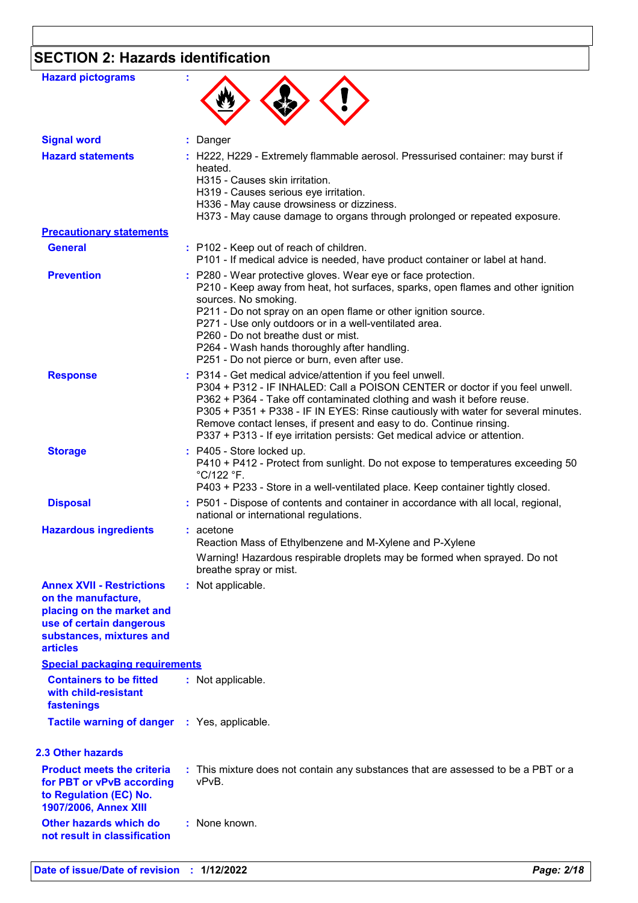# **SECTION 2: Hazards identification**

| <b>Hazard pictograms</b>                                                                                                                                                                                 |                                                                                                                                                                                                                                                                                                                                                                                                                                                               |
|----------------------------------------------------------------------------------------------------------------------------------------------------------------------------------------------------------|---------------------------------------------------------------------------------------------------------------------------------------------------------------------------------------------------------------------------------------------------------------------------------------------------------------------------------------------------------------------------------------------------------------------------------------------------------------|
|                                                                                                                                                                                                          |                                                                                                                                                                                                                                                                                                                                                                                                                                                               |
| <b>Signal word</b>                                                                                                                                                                                       | Danger                                                                                                                                                                                                                                                                                                                                                                                                                                                        |
| <b>Hazard statements</b>                                                                                                                                                                                 | : H222, H229 - Extremely flammable aerosol. Pressurised container: may burst if<br>heated.<br>H315 - Causes skin irritation.<br>H319 - Causes serious eye irritation.<br>H336 - May cause drowsiness or dizziness.<br>H373 - May cause damage to organs through prolonged or repeated exposure.                                                                                                                                                               |
| <b>Precautionary statements</b>                                                                                                                                                                          |                                                                                                                                                                                                                                                                                                                                                                                                                                                               |
| <b>General</b>                                                                                                                                                                                           | : P102 - Keep out of reach of children.<br>P101 - If medical advice is needed, have product container or label at hand.                                                                                                                                                                                                                                                                                                                                       |
| <b>Prevention</b>                                                                                                                                                                                        | : P280 - Wear protective gloves. Wear eye or face protection.<br>P210 - Keep away from heat, hot surfaces, sparks, open flames and other ignition<br>sources. No smoking.<br>P211 - Do not spray on an open flame or other ignition source.<br>P271 - Use only outdoors or in a well-ventilated area.<br>P260 - Do not breathe dust or mist.<br>P264 - Wash hands thoroughly after handling.<br>P251 - Do not pierce or burn, even after use.                 |
| <b>Response</b>                                                                                                                                                                                          | : P314 - Get medical advice/attention if you feel unwell.<br>P304 + P312 - IF INHALED: Call a POISON CENTER or doctor if you feel unwell.<br>P362 + P364 - Take off contaminated clothing and wash it before reuse.<br>P305 + P351 + P338 - IF IN EYES: Rinse cautiously with water for several minutes.<br>Remove contact lenses, if present and easy to do. Continue rinsing.<br>P337 + P313 - If eye irritation persists: Get medical advice or attention. |
| <b>Storage</b>                                                                                                                                                                                           | : P405 - Store locked up.<br>P410 + P412 - Protect from sunlight. Do not expose to temperatures exceeding 50<br>°C/122 °F.<br>P403 + P233 - Store in a well-ventilated place. Keep container tightly closed.                                                                                                                                                                                                                                                  |
| <b>Disposal</b>                                                                                                                                                                                          | : P501 - Dispose of contents and container in accordance with all local, regional,<br>national or international regulations.                                                                                                                                                                                                                                                                                                                                  |
| <b>Hazardous ingredients</b>                                                                                                                                                                             | : acetone<br>Reaction Mass of Ethylbenzene and M-Xylene and P-Xylene                                                                                                                                                                                                                                                                                                                                                                                          |
|                                                                                                                                                                                                          | Warning! Hazardous respirable droplets may be formed when sprayed. Do not<br>breathe spray or mist.                                                                                                                                                                                                                                                                                                                                                           |
| <b>Annex XVII - Restrictions</b><br>on the manufacture,<br>placing on the market and<br>use of certain dangerous<br>substances, mixtures and<br><b>articles</b><br><b>Special packaging requirements</b> | : Not applicable.                                                                                                                                                                                                                                                                                                                                                                                                                                             |
| <b>Containers to be fitted</b>                                                                                                                                                                           |                                                                                                                                                                                                                                                                                                                                                                                                                                                               |
| with child-resistant<br>fastenings                                                                                                                                                                       | : Not applicable.                                                                                                                                                                                                                                                                                                                                                                                                                                             |
| <b>Tactile warning of danger</b>                                                                                                                                                                         | : Yes, applicable.                                                                                                                                                                                                                                                                                                                                                                                                                                            |
| <b>2.3 Other hazards</b>                                                                                                                                                                                 |                                                                                                                                                                                                                                                                                                                                                                                                                                                               |
| <b>Product meets the criteria</b><br>for PBT or vPvB according<br>to Regulation (EC) No.<br>1907/2006, Annex XIII                                                                                        | : This mixture does not contain any substances that are assessed to be a PBT or a<br>vPvB.                                                                                                                                                                                                                                                                                                                                                                    |
| Other hazards which do<br>not result in classification                                                                                                                                                   | : None known.                                                                                                                                                                                                                                                                                                                                                                                                                                                 |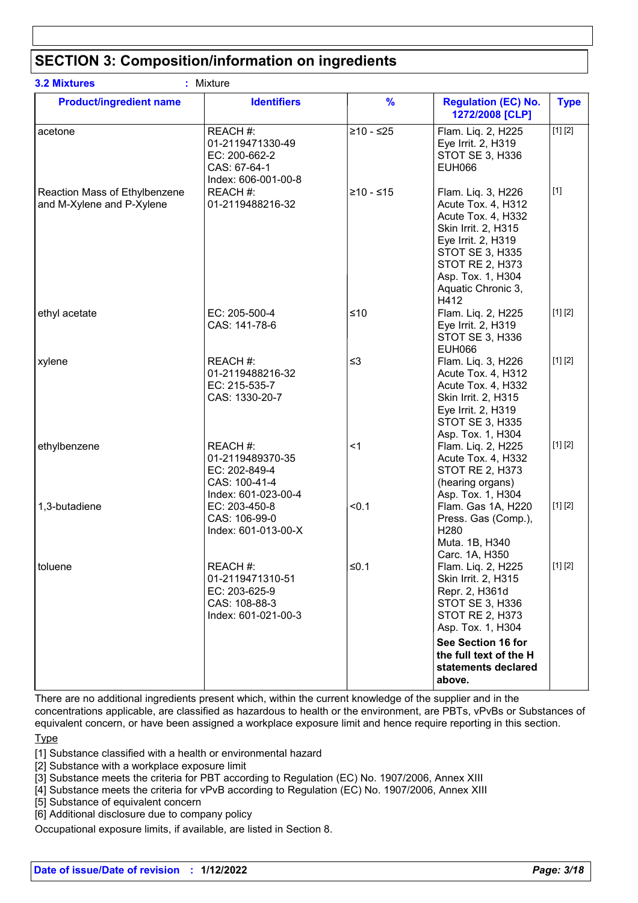# **SECTION 3: Composition/information on ingredients**

| <b>Product/ingredient name</b>                             | <b>Identifiers</b>                                                                    | $\frac{9}{6}$ | <b>Regulation (EC) No.</b><br>1272/2008 [CLP]                                                                                                                                                               | <b>Type</b> |
|------------------------------------------------------------|---------------------------------------------------------------------------------------|---------------|-------------------------------------------------------------------------------------------------------------------------------------------------------------------------------------------------------------|-------------|
| acetone                                                    | REACH #:<br>01-2119471330-49<br>EC: 200-662-2<br>CAS: 67-64-1<br>Index: 606-001-00-8  | $≥10 - ≤25$   | Flam. Liq. 2, H225<br>Eye Irrit. 2, H319<br>STOT SE 3, H336<br><b>EUH066</b>                                                                                                                                | [1] [2]     |
| Reaction Mass of Ethylbenzene<br>and M-Xylene and P-Xylene | REACH #:<br>01-2119488216-32                                                          | $≥10 - ≤15$   | Flam. Liq. 3, H226<br>Acute Tox. 4, H312<br>Acute Tox. 4, H332<br>Skin Irrit. 2, H315<br>Eye Irrit. 2, H319<br>STOT SE 3, H335<br><b>STOT RE 2, H373</b><br>Asp. Tox. 1, H304<br>Aquatic Chronic 3,<br>H412 | $[1]$       |
| ethyl acetate                                              | EC: 205-500-4<br>CAS: 141-78-6                                                        | $≤10$         | Flam. Liq. 2, H225<br>Eye Irrit. 2, H319<br>STOT SE 3, H336<br><b>EUH066</b>                                                                                                                                | [1] [2]     |
| xylene                                                     | REACH #:<br>01-2119488216-32<br>EC: 215-535-7<br>CAS: 1330-20-7                       | $\leq$ 3      | Flam. Liq. 3, H226<br>Acute Tox. 4, H312<br>Acute Tox. 4, H332<br>Skin Irrit. 2, H315<br>Eye Irrit. 2, H319<br>STOT SE 3, H335<br>Asp. Tox. 1, H304                                                         | [1] [2]     |
| ethylbenzene                                               | REACH #:<br>01-2119489370-35<br>EC: 202-849-4<br>CAS: 100-41-4<br>Index: 601-023-00-4 | $<$ 1         | Flam. Liq. 2, H225<br>Acute Tox. 4, H332<br><b>STOT RE 2, H373</b><br>(hearing organs)<br>Asp. Tox. 1, H304                                                                                                 | [1] [2]     |
| 1,3-butadiene                                              | EC: 203-450-8<br>CAS: 106-99-0<br>Index: 601-013-00-X                                 | < 0.1         | Flam. Gas 1A, H220<br>Press. Gas (Comp.),<br>H280<br>Muta. 1B, H340<br>Carc. 1A, H350                                                                                                                       | [1] [2]     |
| toluene                                                    | REACH #:<br>01-2119471310-51<br>EC: 203-625-9<br>CAS: 108-88-3<br>Index: 601-021-00-3 | ≤0.1          | Flam. Liq. 2, H225<br>Skin Irrit. 2, H315<br>Repr. 2, H361d<br>STOT SE 3, H336<br><b>STOT RE 2, H373</b><br>Asp. Tox. 1, H304                                                                               | [1] [2]     |
|                                                            |                                                                                       |               | See Section 16 for<br>the full text of the H<br>statements declared<br>above.                                                                                                                               |             |

There are no additional ingredients present which, within the current knowledge of the supplier and in the concentrations applicable, are classified as hazardous to health or the environment, are PBTs, vPvBs or Substances of equivalent concern, or have been assigned a workplace exposure limit and hence require reporting in this section.

**Type** 

[1] Substance classified with a health or environmental hazard

[2] Substance with a workplace exposure limit

[3] Substance meets the criteria for PBT according to Regulation (EC) No. 1907/2006, Annex XIII

[4] Substance meets the criteria for vPvB according to Regulation (EC) No. 1907/2006, Annex XIII

[5] Substance of equivalent concern

[6] Additional disclosure due to company policy

Occupational exposure limits, if available, are listed in Section 8.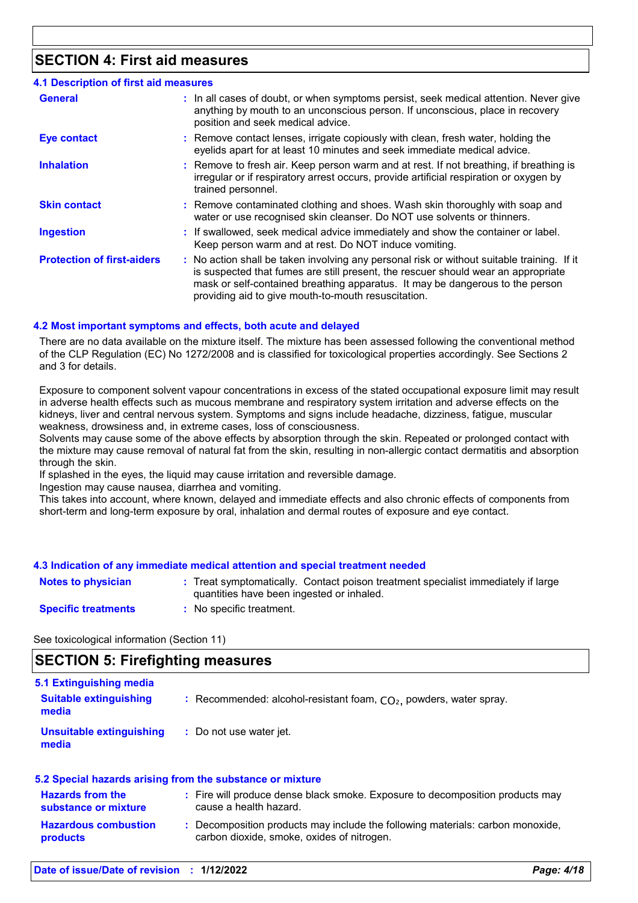## **SECTION 4: First aid measures**

### **4.1 Description of first aid measures**

| <b>General</b>                    | : In all cases of doubt, or when symptoms persist, seek medical attention. Never give<br>anything by mouth to an unconscious person. If unconscious, place in recovery<br>position and seek medical advice.                                                                                                             |
|-----------------------------------|-------------------------------------------------------------------------------------------------------------------------------------------------------------------------------------------------------------------------------------------------------------------------------------------------------------------------|
| <b>Eye contact</b>                | : Remove contact lenses, irrigate copiously with clean, fresh water, holding the<br>eyelids apart for at least 10 minutes and seek immediate medical advice.                                                                                                                                                            |
| <b>Inhalation</b>                 | : Remove to fresh air. Keep person warm and at rest. If not breathing, if breathing is<br>irregular or if respiratory arrest occurs, provide artificial respiration or oxygen by<br>trained personnel.                                                                                                                  |
| <b>Skin contact</b>               | : Remove contaminated clothing and shoes. Wash skin thoroughly with soap and<br>water or use recognised skin cleanser. Do NOT use solvents or thinners.                                                                                                                                                                 |
| <b>Ingestion</b>                  | : If swallowed, seek medical advice immediately and show the container or label.<br>Keep person warm and at rest. Do NOT induce vomiting.                                                                                                                                                                               |
| <b>Protection of first-aiders</b> | : No action shall be taken involving any personal risk or without suitable training. If it<br>is suspected that fumes are still present, the rescuer should wear an appropriate<br>mask or self-contained breathing apparatus. It may be dangerous to the person<br>providing aid to give mouth-to-mouth resuscitation. |

#### **4.2 Most important symptoms and effects, both acute and delayed**

There are no data available on the mixture itself. The mixture has been assessed following the conventional method of the CLP Regulation (EC) No 1272/2008 and is classified for toxicological properties accordingly. See Sections 2 and 3 for details.

Exposure to component solvent vapour concentrations in excess of the stated occupational exposure limit may result in adverse health effects such as mucous membrane and respiratory system irritation and adverse effects on the kidneys, liver and central nervous system. Symptoms and signs include headache, dizziness, fatigue, muscular weakness, drowsiness and, in extreme cases, loss of consciousness.

Solvents may cause some of the above effects by absorption through the skin. Repeated or prolonged contact with the mixture may cause removal of natural fat from the skin, resulting in non-allergic contact dermatitis and absorption through the skin.

If splashed in the eyes, the liquid may cause irritation and reversible damage.

Ingestion may cause nausea, diarrhea and vomiting.

This takes into account, where known, delayed and immediate effects and also chronic effects of components from short-term and long-term exposure by oral, inhalation and dermal routes of exposure and eye contact.

#### **4.3 Indication of any immediate medical attention and special treatment needed**

| <b>Notes to physician</b>  | : Treat symptomatically. Contact poison treatment specialist immediately if large<br>quantities have been ingested or inhaled. |
|----------------------------|--------------------------------------------------------------------------------------------------------------------------------|
| <b>Specific treatments</b> | No specific treatment.                                                                                                         |

See toxicological information (Section 11)

### **SECTION 5: Firefighting measures**

| 5.1 Extinguishing media<br><b>Suitable extinguishing</b><br>media | : Recommended: alcohol-resistant foam, $CO2$ , powders, water spray. |
|-------------------------------------------------------------------|----------------------------------------------------------------------|
| Unsuitable extinguishing<br>media                                 | : Do not use water jet.                                              |

| 5.2 Special hazards arising from the substance or mixture |  |                                                                                                                              |  |  |
|-----------------------------------------------------------|--|------------------------------------------------------------------------------------------------------------------------------|--|--|
| <b>Hazards from the</b><br>substance or mixture           |  | : Fire will produce dense black smoke. Exposure to decomposition products may<br>cause a health hazard.                      |  |  |
| <b>Hazardous combustion</b><br><b>products</b>            |  | : Decomposition products may include the following materials: carbon monoxide,<br>carbon dioxide, smoke, oxides of nitrogen. |  |  |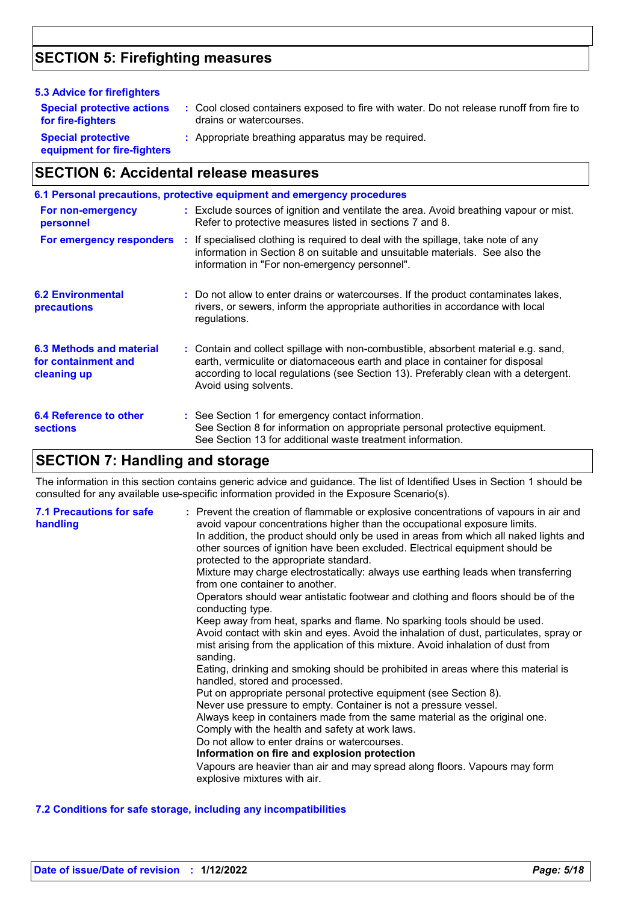# **SECTION 5: Firefighting measures**

| <b>5.3 Advice for firefighters</b>                                    |                                                                                                                                                                                                                                                                                    |
|-----------------------------------------------------------------------|------------------------------------------------------------------------------------------------------------------------------------------------------------------------------------------------------------------------------------------------------------------------------------|
| <b>Special protective actions</b><br>for fire-fighters                | : Cool closed containers exposed to fire with water. Do not release runoff from fire to<br>drains or watercourses.                                                                                                                                                                 |
| <b>Special protective</b><br>equipment for fire-fighters              | : Appropriate breathing apparatus may be required.                                                                                                                                                                                                                                 |
| <b>SECTION 6: Accidental release measures</b>                         |                                                                                                                                                                                                                                                                                    |
|                                                                       | 6.1 Personal precautions, protective equipment and emergency procedures                                                                                                                                                                                                            |
| For non-emergency<br>personnel                                        | : Exclude sources of ignition and ventilate the area. Avoid breathing vapour or mist.<br>Refer to protective measures listed in sections 7 and 8.                                                                                                                                  |
| For emergency responders                                              | : If specialised clothing is required to deal with the spillage, take note of any<br>information in Section 8 on suitable and unsuitable materials. See also the<br>information in "For non-emergency personnel".                                                                  |
| <b>6.2 Environmental</b><br>precautions                               | : Do not allow to enter drains or watercourses. If the product contaminates lakes,<br>rivers, or sewers, inform the appropriate authorities in accordance with local<br>regulations.                                                                                               |
| <b>6.3 Methods and material</b><br>for containment and<br>cleaning up | : Contain and collect spillage with non-combustible, absorbent material e.g. sand,<br>earth, vermiculite or diatomaceous earth and place in container for disposal<br>according to local regulations (see Section 13). Preferably clean with a detergent.<br>Avoid using solvents. |
| <b>6.4 Reference to other</b><br><b>sections</b>                      | : See Section 1 for emergency contact information.<br>See Section 8 for information on appropriate personal protective equipment.<br>See Section 13 for additional waste treatment information.                                                                                    |

### **SECTION 7: Handling and storage**

The information in this section contains generic advice and guidance. The list of Identified Uses in Section 1 should be consulted for any available use-specific information provided in the Exposure Scenario(s).

| avoid vapour concentrations higher than the occupational exposure limits.<br>handling<br>In addition, the product should only be used in areas from which all naked lights and<br>other sources of ignition have been excluded. Electrical equipment should be<br>protected to the appropriate standard.<br>Mixture may charge electrostatically: always use earthing leads when transferring<br>from one container to another.<br>Operators should wear antistatic footwear and clothing and floors should be of the<br>conducting type.<br>Keep away from heat, sparks and flame. No sparking tools should be used.<br>Avoid contact with skin and eyes. Avoid the inhalation of dust, particulates, spray or<br>mist arising from the application of this mixture. Avoid inhalation of dust from<br>sanding.<br>Eating, drinking and smoking should be prohibited in areas where this material is<br>handled, stored and processed.<br>Put on appropriate personal protective equipment (see Section 8).<br>Never use pressure to empty. Container is not a pressure vessel.<br>Always keep in containers made from the same material as the original one.<br>Comply with the health and safety at work laws.<br>Do not allow to enter drains or watercourses.<br>Information on fire and explosion protection<br>Vapours are heavier than air and may spread along floors. Vapours may form<br>explosive mixtures with air. |  |
|---------------------------------------------------------------------------------------------------------------------------------------------------------------------------------------------------------------------------------------------------------------------------------------------------------------------------------------------------------------------------------------------------------------------------------------------------------------------------------------------------------------------------------------------------------------------------------------------------------------------------------------------------------------------------------------------------------------------------------------------------------------------------------------------------------------------------------------------------------------------------------------------------------------------------------------------------------------------------------------------------------------------------------------------------------------------------------------------------------------------------------------------------------------------------------------------------------------------------------------------------------------------------------------------------------------------------------------------------------------------------------------------------------------------------------|--|
|---------------------------------------------------------------------------------------------------------------------------------------------------------------------------------------------------------------------------------------------------------------------------------------------------------------------------------------------------------------------------------------------------------------------------------------------------------------------------------------------------------------------------------------------------------------------------------------------------------------------------------------------------------------------------------------------------------------------------------------------------------------------------------------------------------------------------------------------------------------------------------------------------------------------------------------------------------------------------------------------------------------------------------------------------------------------------------------------------------------------------------------------------------------------------------------------------------------------------------------------------------------------------------------------------------------------------------------------------------------------------------------------------------------------------------|--|

#### **7.2 Conditions for safe storage, including any incompatibilities**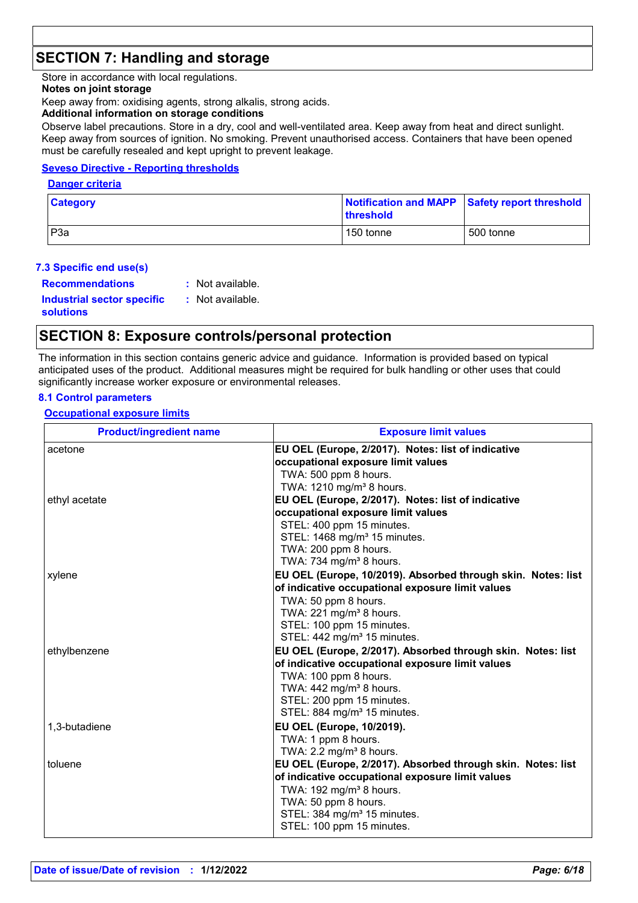# **SECTION 7: Handling and storage**

Store in accordance with local regulations.

#### **Notes on joint storage**

Keep away from: oxidising agents, strong alkalis, strong acids.

#### **Additional information on storage conditions**

Observe label precautions. Store in a dry, cool and well-ventilated area. Keep away from heat and direct sunlight. Keep away from sources of ignition. No smoking. Prevent unauthorised access. Containers that have been opened must be carefully resealed and kept upright to prevent leakage.

#### **Seveso Directive - Reporting thresholds**

#### **Danger criteria**

| <b>Category</b>  | threshold | Notification and MAPP Safety report threshold |
|------------------|-----------|-----------------------------------------------|
| P <sub>3</sub> a | 150 tonne | 500 tonne                                     |

#### **7.3 Specific end use(s)**

| <b>Recommendations</b>            | : Not available. |
|-----------------------------------|------------------|
| <b>Industrial sector specific</b> | : Not available. |
| <b>solutions</b>                  |                  |

### **SECTION 8: Exposure controls/personal protection**

The information in this section contains generic advice and guidance. Information is provided based on typical anticipated uses of the product. Additional measures might be required for bulk handling or other uses that could significantly increase worker exposure or environmental releases.

#### **8.1 Control parameters**

#### **Occupational exposure limits**

| <b>Product/ingredient name</b> | <b>Exposure limit values</b>                                         |
|--------------------------------|----------------------------------------------------------------------|
| acetone                        | EU OEL (Europe, 2/2017). Notes: list of indicative                   |
|                                | occupational exposure limit values                                   |
|                                | TWA: 500 ppm 8 hours.                                                |
|                                | TWA: 1210 mg/m <sup>3</sup> 8 hours.                                 |
| ethyl acetate                  | EU OEL (Europe, 2/2017). Notes: list of indicative                   |
|                                | occupational exposure limit values                                   |
|                                | STEL: 400 ppm 15 minutes.                                            |
|                                | STEL: 1468 mg/m <sup>3</sup> 15 minutes.                             |
|                                | TWA: 200 ppm 8 hours.<br>TWA: 734 mg/m <sup>3</sup> 8 hours.         |
|                                | EU OEL (Europe, 10/2019). Absorbed through skin. Notes: list         |
| xylene                         | of indicative occupational exposure limit values                     |
|                                | TWA: 50 ppm 8 hours.                                                 |
|                                | TWA: 221 mg/m <sup>3</sup> 8 hours.                                  |
|                                | STEL: 100 ppm 15 minutes.                                            |
|                                | STEL: 442 mg/m <sup>3</sup> 15 minutes.                              |
| ethylbenzene                   | EU OEL (Europe, 2/2017). Absorbed through skin. Notes: list          |
|                                | of indicative occupational exposure limit values                     |
|                                | TWA: 100 ppm 8 hours.                                                |
|                                | TWA: 442 mg/m <sup>3</sup> 8 hours.                                  |
|                                | STEL: 200 ppm 15 minutes.                                            |
|                                | STEL: 884 mg/m <sup>3</sup> 15 minutes.                              |
| 1,3-butadiene                  | EU OEL (Europe, 10/2019).                                            |
|                                | TWA: 1 ppm 8 hours.                                                  |
|                                | TWA: 2.2 mg/m <sup>3</sup> 8 hours.                                  |
| toluene                        | EU OEL (Europe, 2/2017). Absorbed through skin. Notes: list          |
|                                | of indicative occupational exposure limit values                     |
|                                | TWA: 192 mg/m <sup>3</sup> 8 hours.                                  |
|                                | TWA: 50 ppm 8 hours.                                                 |
|                                | STEL: 384 mg/m <sup>3</sup> 15 minutes.<br>STEL: 100 ppm 15 minutes. |
|                                |                                                                      |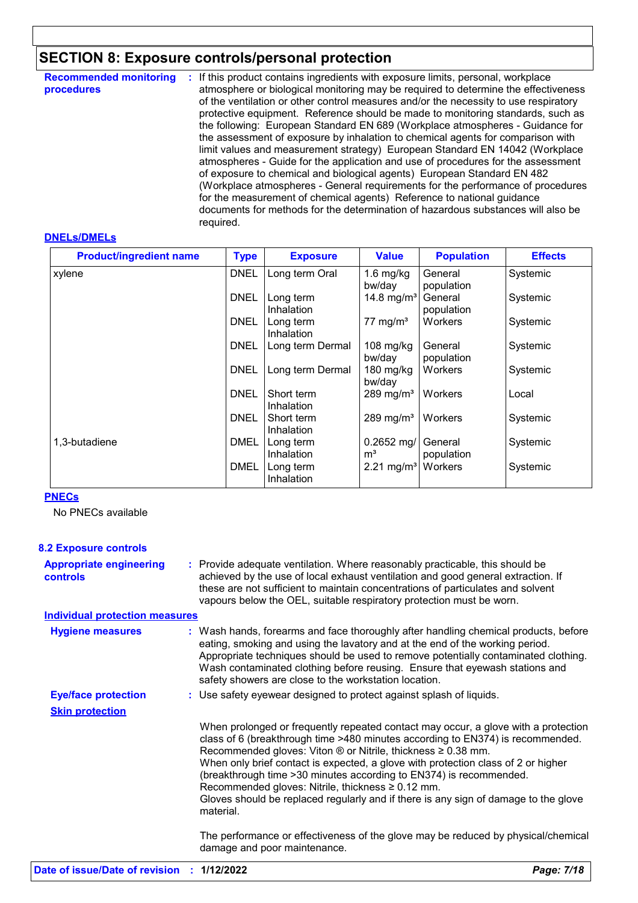# **SECTION 8: Exposure controls/personal protection**

| <b>Recommended monitoring</b><br>procedures | If this product contains ingredients with exposure limits, personal, workplace<br>÷<br>atmosphere or biological monitoring may be required to determine the effectiveness<br>of the ventilation or other control measures and/or the necessity to use respiratory<br>protective equipment. Reference should be made to monitoring standards, such as<br>the following: European Standard EN 689 (Workplace atmospheres - Guidance for<br>the assessment of exposure by inhalation to chemical agents for comparison with<br>limit values and measurement strategy) European Standard EN 14042 (Workplace<br>atmospheres - Guide for the application and use of procedures for the assessment<br>of exposure to chemical and biological agents) European Standard EN 482<br>(Workplace atmospheres - General requirements for the performance of procedures<br>for the measurement of chemical agents) Reference to national guidance<br>documents for methods for the determination of hazardous substances will also be |
|---------------------------------------------|--------------------------------------------------------------------------------------------------------------------------------------------------------------------------------------------------------------------------------------------------------------------------------------------------------------------------------------------------------------------------------------------------------------------------------------------------------------------------------------------------------------------------------------------------------------------------------------------------------------------------------------------------------------------------------------------------------------------------------------------------------------------------------------------------------------------------------------------------------------------------------------------------------------------------------------------------------------------------------------------------------------------------|
|                                             | required.                                                                                                                                                                                                                                                                                                                                                                                                                                                                                                                                                                                                                                                                                                                                                                                                                                                                                                                                                                                                                |

#### **DNELs/DMELs**

| <b>Product/ingredient name</b> | <b>Type</b> | <b>Exposure</b>                 | <b>Value</b>                   | <b>Population</b>     | <b>Effects</b> |
|--------------------------------|-------------|---------------------------------|--------------------------------|-----------------------|----------------|
| xylene                         | <b>DNEL</b> | Long term Oral                  | 1.6 mg/kg<br>bw/day            | General<br>population | Systemic       |
|                                | <b>DNEL</b> | Long term<br>Inhalation         | 14.8 mg/m <sup>3</sup>         | General<br>population | Systemic       |
|                                | <b>DNEL</b> | Long term<br>Inhalation         | 77 mg/m <sup>3</sup>           | <b>Workers</b>        | Systemic       |
|                                | <b>DNEL</b> | Long term Dermal                | $108$ mg/kg<br>bw/day          | General<br>population | Systemic       |
|                                | <b>DNEL</b> | Long term Dermal                | $180$ mg/kg<br>bw/day          | <b>Workers</b>        | Systemic       |
|                                | <b>DNEL</b> | Short term<br><b>Inhalation</b> | 289 mg/m <sup>3</sup>          | <b>Workers</b>        | Local          |
|                                | <b>DNEL</b> | Short term<br>Inhalation        | 289 mg/m <sup>3</sup>          | <b>Workers</b>        | Systemic       |
| 1,3-butadiene                  | <b>DMEL</b> | Long term<br>Inhalation         | $0.2652$ mg/<br>m <sup>3</sup> | General<br>population | Systemic       |
|                                | <b>DMEL</b> | Long term<br>Inhalation         | 2.21 mg/m <sup>3</sup>         | Workers               | Systemic       |

#### **PNECs**

No PNECs available

| <b>8.2 Exposure controls</b>                      |                                                                                                                                                                                                                                                                                                                                                                                                                                                                                                                                                                               |
|---------------------------------------------------|-------------------------------------------------------------------------------------------------------------------------------------------------------------------------------------------------------------------------------------------------------------------------------------------------------------------------------------------------------------------------------------------------------------------------------------------------------------------------------------------------------------------------------------------------------------------------------|
| <b>Appropriate engineering</b><br><b>controls</b> | : Provide adequate ventilation. Where reasonably practicable, this should be<br>achieved by the use of local exhaust ventilation and good general extraction. If<br>these are not sufficient to maintain concentrations of particulates and solvent<br>vapours below the OEL, suitable respiratory protection must be worn.                                                                                                                                                                                                                                                   |
| <b>Individual protection measures</b>             |                                                                                                                                                                                                                                                                                                                                                                                                                                                                                                                                                                               |
| <b>Hygiene measures</b>                           | : Wash hands, forearms and face thoroughly after handling chemical products, before<br>eating, smoking and using the lavatory and at the end of the working period.<br>Appropriate techniques should be used to remove potentially contaminated clothing.<br>Wash contaminated clothing before reusing. Ensure that eyewash stations and<br>safety showers are close to the workstation location.                                                                                                                                                                             |
| <b>Eye/face protection</b>                        | : Use safety eyewear designed to protect against splash of liquids.                                                                                                                                                                                                                                                                                                                                                                                                                                                                                                           |
| <b>Skin protection</b>                            |                                                                                                                                                                                                                                                                                                                                                                                                                                                                                                                                                                               |
|                                                   | When prolonged or frequently repeated contact may occur, a glove with a protection<br>class of 6 (breakthrough time >480 minutes according to EN374) is recommended.<br>Recommended gloves: Viton $\circledR$ or Nitrile, thickness $\geq 0.38$ mm.<br>When only brief contact is expected, a glove with protection class of 2 or higher<br>(breakthrough time > 30 minutes according to EN374) is recommended.<br>Recommended gloves: Nitrile, thickness $\geq 0.12$ mm.<br>Gloves should be replaced regularly and if there is any sign of damage to the glove<br>material. |
|                                                   | The performance or effectiveness of the glove may be reduced by physical/chemical<br>damage and poor maintenance.                                                                                                                                                                                                                                                                                                                                                                                                                                                             |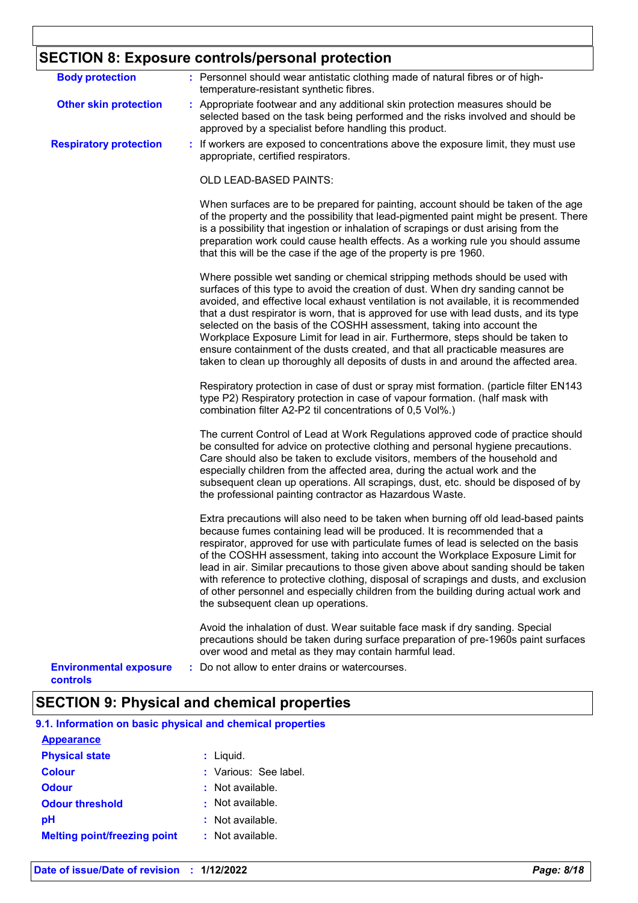# **SECTION 8: Exposure controls/personal protection**

| <b>Body protection</b>                    | : Personnel should wear antistatic clothing made of natural fibres or of high-<br>temperature-resistant synthetic fibres.                                                                                                                                                                                                                                                                                                                                                                                                                                                                                                                                                               |
|-------------------------------------------|-----------------------------------------------------------------------------------------------------------------------------------------------------------------------------------------------------------------------------------------------------------------------------------------------------------------------------------------------------------------------------------------------------------------------------------------------------------------------------------------------------------------------------------------------------------------------------------------------------------------------------------------------------------------------------------------|
| <b>Other skin protection</b>              | : Appropriate footwear and any additional skin protection measures should be<br>selected based on the task being performed and the risks involved and should be<br>approved by a specialist before handling this product.                                                                                                                                                                                                                                                                                                                                                                                                                                                               |
| <b>Respiratory protection</b>             | : If workers are exposed to concentrations above the exposure limit, they must use<br>appropriate, certified respirators.                                                                                                                                                                                                                                                                                                                                                                                                                                                                                                                                                               |
|                                           | OLD LEAD-BASED PAINTS:                                                                                                                                                                                                                                                                                                                                                                                                                                                                                                                                                                                                                                                                  |
|                                           | When surfaces are to be prepared for painting, account should be taken of the age<br>of the property and the possibility that lead-pigmented paint might be present. There<br>is a possibility that ingestion or inhalation of scrapings or dust arising from the<br>preparation work could cause health effects. As a working rule you should assume<br>that this will be the case if the age of the property is pre 1960.                                                                                                                                                                                                                                                             |
|                                           | Where possible wet sanding or chemical stripping methods should be used with<br>surfaces of this type to avoid the creation of dust. When dry sanding cannot be<br>avoided, and effective local exhaust ventilation is not available, it is recommended<br>that a dust respirator is worn, that is approved for use with lead dusts, and its type<br>selected on the basis of the COSHH assessment, taking into account the<br>Workplace Exposure Limit for lead in air. Furthermore, steps should be taken to<br>ensure containment of the dusts created, and that all practicable measures are<br>taken to clean up thoroughly all deposits of dusts in and around the affected area. |
|                                           | Respiratory protection in case of dust or spray mist formation. (particle filter EN143<br>type P2) Respiratory protection in case of vapour formation. (half mask with<br>combination filter A2-P2 til concentrations of 0,5 Vol%.)                                                                                                                                                                                                                                                                                                                                                                                                                                                     |
|                                           | The current Control of Lead at Work Regulations approved code of practice should<br>be consulted for advice on protective clothing and personal hygiene precautions.<br>Care should also be taken to exclude visitors, members of the household and<br>especially children from the affected area, during the actual work and the<br>subsequent clean up operations. All scrapings, dust, etc. should be disposed of by<br>the professional painting contractor as Hazardous Waste.                                                                                                                                                                                                     |
|                                           | Extra precautions will also need to be taken when burning off old lead-based paints<br>because fumes containing lead will be produced. It is recommended that a<br>respirator, approved for use with particulate fumes of lead is selected on the basis<br>of the COSHH assessment, taking into account the Workplace Exposure Limit for<br>lead in air. Similar precautions to those given above about sanding should be taken<br>with reference to protective clothing, disposal of scrapings and dusts, and exclusion<br>of other personnel and especially children from the building during actual work and<br>the subsequent clean up operations.                                  |
|                                           | Avoid the inhalation of dust. Wear suitable face mask if dry sanding. Special<br>precautions should be taken during surface preparation of pre-1960s paint surfaces<br>over wood and metal as they may contain harmful lead.                                                                                                                                                                                                                                                                                                                                                                                                                                                            |
| <b>Environmental exposure</b><br>controls | Do not allow to enter drains or watercourses.                                                                                                                                                                                                                                                                                                                                                                                                                                                                                                                                                                                                                                           |

# **SECTION 9: Physical and chemical properties**

| 9.1. Information on basic physical and chemical properties |                       |
|------------------------------------------------------------|-----------------------|
| <b>Appearance</b>                                          |                       |
| <b>Physical state</b>                                      | $:$ Liquid.           |
| <b>Colour</b>                                              | : Various: See label. |
| <b>Odour</b>                                               | $:$ Not available.    |
| <b>Odour threshold</b>                                     | : Not available.      |
| рH                                                         | $:$ Not available.    |
| <b>Melting point/freezing point</b>                        | : Not available.      |
|                                                            |                       |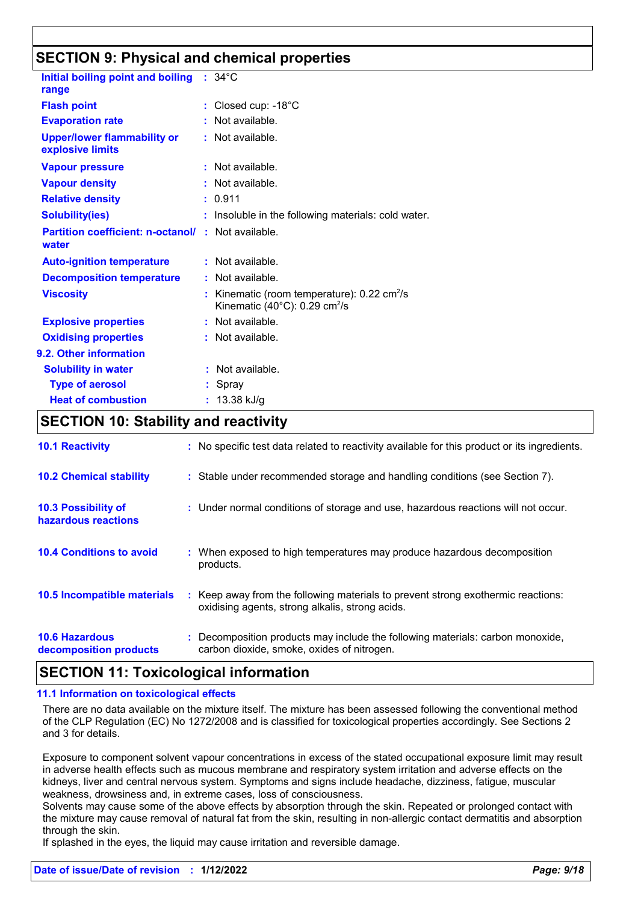## **SECTION 9: Physical and chemical properties**

| Initial boiling point and boiling<br>range                        | $: 34^{\circ}$ C                                                                                                   |
|-------------------------------------------------------------------|--------------------------------------------------------------------------------------------------------------------|
| <b>Flash point</b>                                                | $:$ Closed cup: -18 $^{\circ}$ C                                                                                   |
| <b>Evaporation rate</b>                                           | : Not available.                                                                                                   |
| <b>Upper/lower flammability or</b><br>explosive limits            | : Not available.                                                                                                   |
| <b>Vapour pressure</b>                                            | : Not available.                                                                                                   |
| <b>Vapour density</b>                                             | : Not available.                                                                                                   |
| <b>Relative density</b>                                           | : 0.911                                                                                                            |
| <b>Solubility(ies)</b>                                            | : Insoluble in the following materials: cold water.                                                                |
| <b>Partition coefficient: n-octanol/: Not available.</b><br>water |                                                                                                                    |
| <b>Auto-ignition temperature</b>                                  | $:$ Not available.                                                                                                 |
| <b>Decomposition temperature</b>                                  | : Not available.                                                                                                   |
| <b>Viscosity</b>                                                  | Kinematic (room temperature): $0.22 \text{ cm}^2/\text{s}$<br>Kinematic (40 $^{\circ}$ C): 0.29 cm <sup>2</sup> /s |
| <b>Explosive properties</b>                                       | $:$ Not available.                                                                                                 |
| <b>Oxidising properties</b>                                       | : Not available.                                                                                                   |
| 9.2. Other information                                            |                                                                                                                    |
| <b>Solubility in water</b>                                        | Not available.                                                                                                     |
| <b>Type of aerosol</b>                                            | Spray                                                                                                              |
| <b>Heat of combustion</b>                                         | 13.38 kJ/g                                                                                                         |

### **SECTION 10: Stability and reactivity**

| <b>10.1 Reactivity</b>                            | : No specific test data related to reactivity available for this product or its ingredients.                                        |
|---------------------------------------------------|-------------------------------------------------------------------------------------------------------------------------------------|
| <b>10.2 Chemical stability</b>                    | : Stable under recommended storage and handling conditions (see Section 7).                                                         |
| <b>10.3 Possibility of</b><br>hazardous reactions | : Under normal conditions of storage and use, hazardous reactions will not occur.                                                   |
| <b>10.4 Conditions to avoid</b>                   | : When exposed to high temperatures may produce hazardous decomposition<br>products.                                                |
| 10.5 Incompatible materials                       | : Keep away from the following materials to prevent strong exothermic reactions:<br>oxidising agents, strong alkalis, strong acids. |
| <b>10.6 Hazardous</b><br>decomposition products   | : Decomposition products may include the following materials: carbon monoxide,<br>carbon dioxide, smoke, oxides of nitrogen.        |

### **SECTION 11: Toxicological information**

#### **11.1 Information on toxicological effects**

There are no data available on the mixture itself. The mixture has been assessed following the conventional method of the CLP Regulation (EC) No 1272/2008 and is classified for toxicological properties accordingly. See Sections 2 and 3 for details.

Exposure to component solvent vapour concentrations in excess of the stated occupational exposure limit may result in adverse health effects such as mucous membrane and respiratory system irritation and adverse effects on the kidneys, liver and central nervous system. Symptoms and signs include headache, dizziness, fatigue, muscular weakness, drowsiness and, in extreme cases, loss of consciousness.

Solvents may cause some of the above effects by absorption through the skin. Repeated or prolonged contact with the mixture may cause removal of natural fat from the skin, resulting in non-allergic contact dermatitis and absorption through the skin.

If splashed in the eyes, the liquid may cause irritation and reversible damage.

#### **Date of issue/Date of revision : 1/12/2022** *Page: 9/18*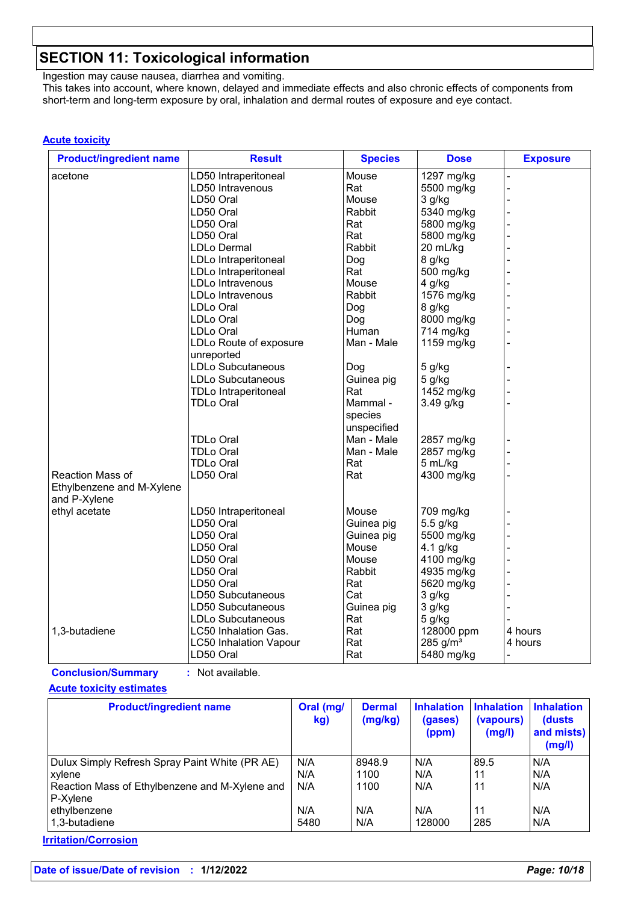# **SECTION 11: Toxicological information**

Ingestion may cause nausea, diarrhea and vomiting. This takes into account, where known, delayed and immediate effects and also chronic effects of components from short-term and long-term exposure by oral, inhalation and dermal routes of exposure and eye contact.

#### **Acute toxicity**

| <b>Product/ingredient name</b> | <b>Result</b>                 | <b>Species</b> | <b>Dose</b>          | <b>Exposure</b> |
|--------------------------------|-------------------------------|----------------|----------------------|-----------------|
| acetone                        | LD50 Intraperitoneal          | Mouse          | 1297 mg/kg           |                 |
|                                | LD50 Intravenous              | Rat            | 5500 mg/kg           | L,              |
|                                | LD50 Oral                     | Mouse          | $3$ g/kg             |                 |
|                                | LD50 Oral                     | Rabbit         | 5340 mg/kg           |                 |
|                                | LD50 Oral                     | Rat            | 5800 mg/kg           |                 |
|                                | LD50 Oral                     | Rat            | 5800 mg/kg           |                 |
|                                | <b>LDLo Dermal</b>            | Rabbit         | 20 mL/kg             |                 |
|                                | LDLo Intraperitoneal          | Dog            | 8 g/kg               |                 |
|                                | LDLo Intraperitoneal          | Rat            | 500 mg/kg            |                 |
|                                | <b>LDLo Intravenous</b>       | Mouse          | 4 g/kg               |                 |
|                                | LDLo Intravenous              | Rabbit         | 1576 mg/kg           |                 |
|                                | LDLo Oral                     | Dog            | 8 g/kg               |                 |
|                                | LDLo Oral                     | Dog            | 8000 mg/kg           |                 |
|                                | <b>LDLo Oral</b>              | Human          | 714 mg/kg            |                 |
|                                | LDLo Route of exposure        | Man - Male     | 1159 mg/kg           |                 |
|                                | unreported                    |                |                      |                 |
|                                | <b>LDLo Subcutaneous</b>      | Dog            | 5 g/kg               |                 |
|                                | LDLo Subcutaneous             | Guinea pig     | 5 g/kg               |                 |
|                                | <b>TDLo Intraperitoneal</b>   | Rat            | 1452 mg/kg           |                 |
|                                | <b>TDLo Oral</b>              | Mammal -       | 3.49 g/kg            |                 |
|                                |                               | species        |                      |                 |
|                                |                               | unspecified    |                      |                 |
|                                | <b>TDLo Oral</b>              | Man - Male     | 2857 mg/kg           |                 |
|                                | <b>TDLo Oral</b>              | Man - Male     | 2857 mg/kg           |                 |
|                                | <b>TDLo Oral</b>              | Rat            | 5 mL/kg              |                 |
| Reaction Mass of               | LD50 Oral                     | Rat            | 4300 mg/kg           |                 |
| Ethylbenzene and M-Xylene      |                               |                |                      |                 |
| and P-Xylene                   |                               |                |                      |                 |
| ethyl acetate                  | LD50 Intraperitoneal          | Mouse          | 709 mg/kg            |                 |
|                                | LD50 Oral                     | Guinea pig     | 5.5 g/kg             |                 |
|                                | LD50 Oral                     | Guinea pig     | 5500 mg/kg           |                 |
|                                | LD50 Oral                     | Mouse          | $4.1$ g/kg           |                 |
|                                |                               | Mouse          |                      |                 |
|                                | LD50 Oral                     |                | 4100 mg/kg           |                 |
|                                | LD50 Oral                     | Rabbit         | 4935 mg/kg           |                 |
|                                | LD50 Oral                     | Rat            | 5620 mg/kg           |                 |
|                                | LD50 Subcutaneous             | Cat            | 3 g/kg               |                 |
|                                | LD50 Subcutaneous             | Guinea pig     | 3 g/kg               |                 |
|                                | LDLo Subcutaneous             | Rat            | 5 g/kg               |                 |
| 1,3-butadiene                  | LC50 Inhalation Gas.          | Rat            | 128000 ppm           | 4 hours         |
|                                | <b>LC50 Inhalation Vapour</b> | Rat            | 285 g/m <sup>3</sup> | 4 hours         |
|                                | LD50 Oral                     | Rat            | 5480 mg/kg           |                 |

**Conclusion/Summary :** Not available.

#### **Acute toxicity estimates**

| <b>Product/ingredient name</b>                 | Oral (mg/<br>kg) | <b>Dermal</b><br>(mg/kg) | <b>Inhalation</b><br>(gases)<br>(ppm) | <b>Inhalation</b><br>(vapours)<br>(mg/l) | <b>Inhalation</b><br>(dusts)<br>and mists)<br>(mg/l) |
|------------------------------------------------|------------------|--------------------------|---------------------------------------|------------------------------------------|------------------------------------------------------|
| Dulux Simply Refresh Spray Paint White (PR AE) | N/A              | 8948.9                   | N/A                                   | 89.5                                     | N/A                                                  |
| xylene                                         | N/A              | 1100                     | N/A                                   | 11                                       | N/A                                                  |
| Reaction Mass of Ethylbenzene and M-Xylene and | N/A              | 1100                     | N/A                                   | 11                                       | N/A                                                  |
| P-Xylene                                       |                  |                          |                                       |                                          |                                                      |
| ethylbenzene                                   | N/A              | N/A                      | N/A                                   | 11                                       | N/A                                                  |
| 1.3-butadiene                                  | 5480             | N/A                      | 128000                                | 285                                      | N/A                                                  |

**Irritation/Corrosion**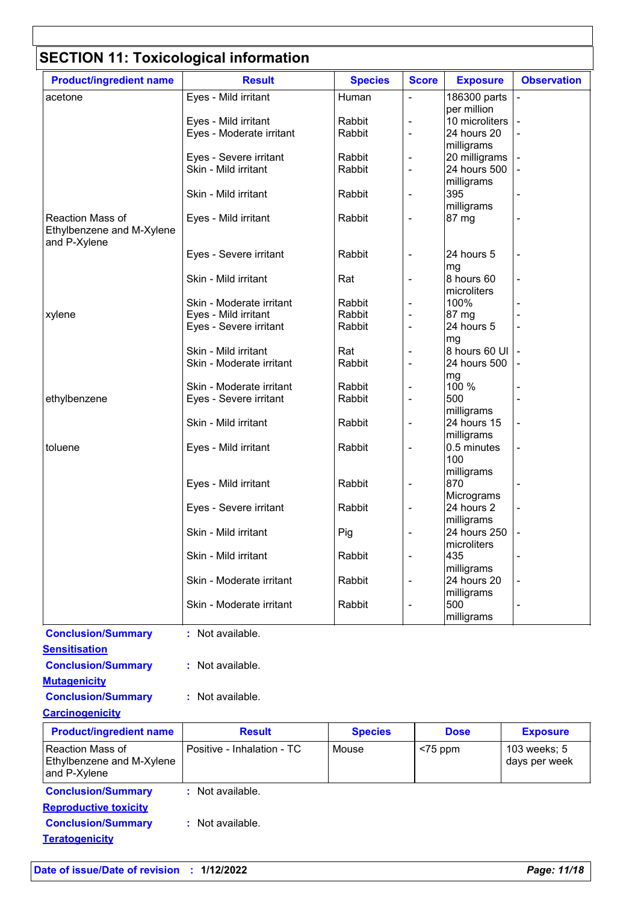# **SECTION 11: Toxicological information**

| <b>Product/ingredient name</b>                | <b>Result</b>                                      | <b>Species</b>   | <b>Score</b>   | <b>Exposure</b>               | <b>Observation</b> |
|-----------------------------------------------|----------------------------------------------------|------------------|----------------|-------------------------------|--------------------|
| acetone                                       | Eyes - Mild irritant                               | Human            |                | 186300 parts                  |                    |
|                                               |                                                    |                  |                | per million                   |                    |
|                                               | Eyes - Mild irritant                               | Rabbit<br>Rabbit |                | 10 microliters<br>24 hours 20 |                    |
|                                               | Eyes - Moderate irritant                           |                  | ÷,             | milligrams                    |                    |
|                                               | Eyes - Severe irritant                             | Rabbit           | ۰              | 20 milligrams                 |                    |
|                                               | Skin - Mild irritant                               | Rabbit           | $\blacksquare$ | 24 hours 500                  |                    |
|                                               |                                                    |                  |                | milligrams                    |                    |
|                                               | Skin - Mild irritant                               | Rabbit           |                | 395                           |                    |
|                                               |                                                    |                  |                | milligrams                    |                    |
| Reaction Mass of<br>Ethylbenzene and M-Xylene | Eyes - Mild irritant                               | Rabbit           |                | 87 mg                         |                    |
| and P-Xylene                                  |                                                    |                  |                |                               |                    |
|                                               | Eyes - Severe irritant                             | Rabbit           |                | 24 hours 5                    |                    |
|                                               | Skin - Mild irritant                               |                  |                | mg<br>8 hours 60              |                    |
|                                               |                                                    | Rat              |                | microliters                   |                    |
|                                               | Skin - Moderate irritant                           | Rabbit           |                | 100%                          |                    |
| xylene                                        | Eyes - Mild irritant                               | Rabbit           |                | 87 mg                         |                    |
|                                               | Eyes - Severe irritant                             | Rabbit           |                | 24 hours 5                    |                    |
|                                               |                                                    |                  |                | mg                            |                    |
|                                               | Skin - Mild irritant                               | Rat              |                | 8 hours 60 UI                 |                    |
|                                               | Skin - Moderate irritant                           | Rabbit           | ÷,             | 24 hours 500                  |                    |
|                                               |                                                    |                  |                | mg                            |                    |
| ethylbenzene                                  | Skin - Moderate irritant<br>Eyes - Severe irritant | Rabbit<br>Rabbit |                | 100 %<br>500                  |                    |
|                                               |                                                    |                  |                | milligrams                    |                    |
|                                               | Skin - Mild irritant                               | Rabbit           | ÷,             | 24 hours 15                   |                    |
|                                               |                                                    |                  |                | milligrams                    |                    |
| toluene                                       | Eyes - Mild irritant                               | Rabbit           |                | 0.5 minutes                   |                    |
|                                               |                                                    |                  |                | 100                           |                    |
|                                               |                                                    |                  |                | milligrams                    |                    |
|                                               | Eyes - Mild irritant                               | Rabbit           |                | 870                           |                    |
|                                               |                                                    |                  |                | Micrograms                    |                    |
|                                               | Eyes - Severe irritant                             | Rabbit           |                | 24 hours 2<br>milligrams      |                    |
|                                               | Skin - Mild irritant                               | Pig              |                | 24 hours 250                  |                    |
|                                               |                                                    |                  |                | microliters                   |                    |
|                                               | Skin - Mild irritant                               | Rabbit           | ٠              | 435                           |                    |
|                                               |                                                    |                  |                | milligrams                    |                    |
|                                               | Skin - Moderate irritant                           | Rabbit           | $\overline{a}$ | 24 hours 20                   |                    |
|                                               |                                                    |                  |                | milligrams                    |                    |
|                                               | Skin - Moderate irritant                           | Rabbit           | ۰              | 500                           |                    |
|                                               |                                                    |                  |                | milligrams                    |                    |
| <b>Conclusion/Summary</b>                     | : Not available.                                   |                  |                |                               |                    |
| <b>Sensitisation</b>                          |                                                    |                  |                |                               |                    |
| <b>Conclusion/Summary</b>                     | : Not available.                                   |                  |                |                               |                    |
| <b>Mutagenicity</b>                           |                                                    |                  |                |                               |                    |
| <b>Conclusion/Summary</b>                     | : Not available.                                   |                  |                |                               |                    |
|                                               |                                                    |                  |                |                               |                    |
| <b>Carcinogenicity</b>                        |                                                    |                  |                |                               |                    |
| <b>Product/ingredient name</b>                | <b>Result</b>                                      | <b>Species</b>   |                | <b>Dose</b>                   | <b>Exposure</b>    |
| Reaction Mass of                              | Positive - Inhalation - TC                         | Mouse            | $<$ 75 ppm     |                               | 103 weeks; 5       |
| Ethylbenzene and M-Xylene                     |                                                    |                  |                |                               | days per week      |
| and P-Xylene                                  |                                                    |                  |                |                               |                    |
| <b>Conclusion/Summary</b>                     | : Not available.                                   |                  |                |                               |                    |
| <b>Reproductive toxicity</b>                  |                                                    |                  |                |                               |                    |

**Conclusion/Summary :** Not available.

**Teratogenicity**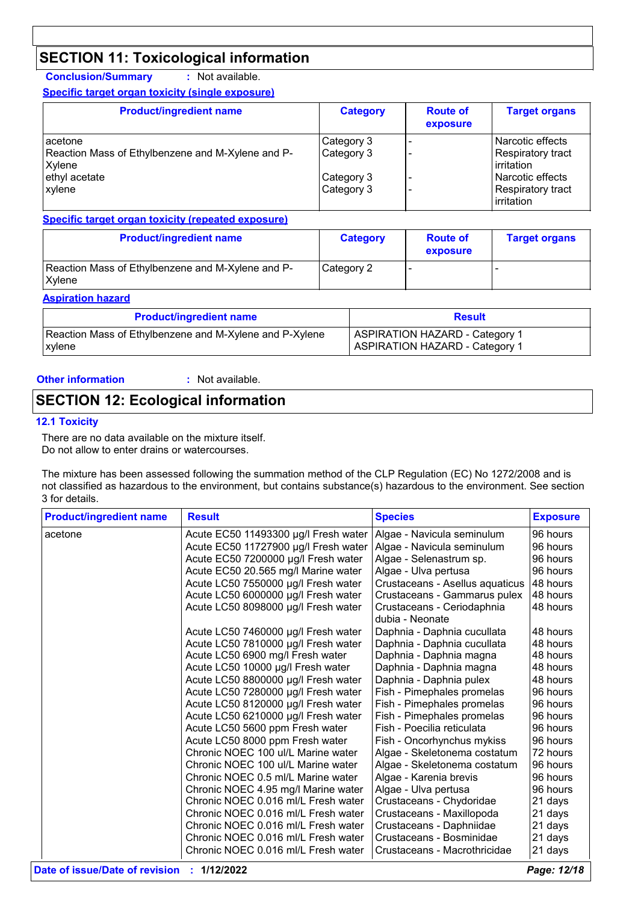# **SECTION 11: Toxicological information**

**Conclusion/Summary :** Not available. **Specific target organ toxicity (single exposure)**

| <b>Product/ingredient name</b>                    | <b>Category</b> | <b>Route of</b><br>exposure | <b>Target organs</b>     |
|---------------------------------------------------|-----------------|-----------------------------|--------------------------|
| acetone                                           | Category 3      |                             | Narcotic effects         |
| Reaction Mass of Ethylbenzene and M-Xylene and P- | Category 3      |                             | Respiratory tract        |
| Xylene                                            |                 |                             | irritation               |
| ethyl acetate                                     | Category 3      |                             | Narcotic effects         |
| <b>xylene</b>                                     | Category 3      |                             | <b>Respiratory tract</b> |
|                                                   |                 |                             | irritation               |

**Specific target organ toxicity (repeated exposure)**

| <b>Product/ingredient name</b>                              | <b>Category</b> | <b>Route of</b><br>exposure | <b>Target organs</b> |
|-------------------------------------------------------------|-----------------|-----------------------------|----------------------|
| Reaction Mass of Ethylbenzene and M-Xylene and P-<br>Xvlene | Category 2      |                             |                      |

**Aspiration hazard**

| <b>Product/ingredient name</b>                          | <b>Result</b>                         |
|---------------------------------------------------------|---------------------------------------|
| Reaction Mass of Ethylbenzene and M-Xylene and P-Xylene | <b>ASPIRATION HAZARD - Category 1</b> |
| xylene                                                  | <b>ASPIRATION HAZARD - Category 1</b> |

#### **Other information :**

: Not available.

### **SECTION 12: Ecological information**

#### **12.1 Toxicity**

There are no data available on the mixture itself. Do not allow to enter drains or watercourses.

The mixture has been assessed following the summation method of the CLP Regulation (EC) No 1272/2008 and is not classified as hazardous to the environment, but contains substance(s) hazardous to the environment. See section 3 for details.

| <b>Product/ingredient name</b> | <b>Result</b>                        | <b>Species</b>                  | <b>Exposure</b> |
|--------------------------------|--------------------------------------|---------------------------------|-----------------|
| acetone                        | Acute EC50 11493300 µg/l Fresh water | Algae - Navicula seminulum      | 96 hours        |
|                                | Acute EC50 11727900 µg/l Fresh water | Algae - Navicula seminulum      | 96 hours        |
|                                | Acute EC50 7200000 µg/l Fresh water  | Algae - Selenastrum sp.         | 96 hours        |
|                                | Acute EC50 20.565 mg/l Marine water  | Algae - Ulva pertusa            | 96 hours        |
|                                | Acute LC50 7550000 µg/l Fresh water  | Crustaceans - Asellus aquaticus | 48 hours        |
|                                | Acute LC50 6000000 µg/l Fresh water  | Crustaceans - Gammarus pulex    | 48 hours        |
|                                | Acute LC50 8098000 µg/l Fresh water  | Crustaceans - Ceriodaphnia      | 48 hours        |
|                                |                                      | dubia - Neonate                 |                 |
|                                | Acute LC50 7460000 µg/l Fresh water  | Daphnia - Daphnia cucullata     | 48 hours        |
|                                | Acute LC50 7810000 µg/l Fresh water  | Daphnia - Daphnia cucullata     | 48 hours        |
|                                | Acute LC50 6900 mg/l Fresh water     | Daphnia - Daphnia magna         | 48 hours        |
|                                | Acute LC50 10000 µg/l Fresh water    | Daphnia - Daphnia magna         | 48 hours        |
|                                | Acute LC50 8800000 µg/l Fresh water  | Daphnia - Daphnia pulex         | 48 hours        |
|                                | Acute LC50 7280000 µg/l Fresh water  | Fish - Pimephales promelas      | 96 hours        |
|                                | Acute LC50 8120000 µg/l Fresh water  | Fish - Pimephales promelas      | 96 hours        |
|                                | Acute LC50 6210000 µg/l Fresh water  | Fish - Pimephales promelas      | 96 hours        |
|                                | Acute LC50 5600 ppm Fresh water      | Fish - Poecilia reticulata      | 96 hours        |
|                                | Acute LC50 8000 ppm Fresh water      | Fish - Oncorhynchus mykiss      | 96 hours        |
|                                | Chronic NOEC 100 ul/L Marine water   | Algae - Skeletonema costatum    | 72 hours        |
|                                | Chronic NOEC 100 ul/L Marine water   | Algae - Skeletonema costatum    | 96 hours        |
|                                | Chronic NOEC 0.5 ml/L Marine water   | Algae - Karenia brevis          | 96 hours        |
|                                | Chronic NOEC 4.95 mg/l Marine water  | Algae - Ulva pertusa            | 96 hours        |
|                                | Chronic NOEC 0.016 ml/L Fresh water  | Crustaceans - Chydoridae        | 21 days         |
|                                | Chronic NOEC 0.016 ml/L Fresh water  | Crustaceans - Maxillopoda       | 21 days         |
|                                | Chronic NOEC 0.016 ml/L Fresh water  | Crustaceans - Daphniidae        | 21 days         |
|                                | Chronic NOEC 0.016 ml/L Fresh water  | Crustaceans - Bosminidae        | 21 days         |
|                                | Chronic NOEC 0.016 ml/L Fresh water  | Crustaceans - Macrothricidae    | 21 days         |
|                                |                                      |                                 |                 |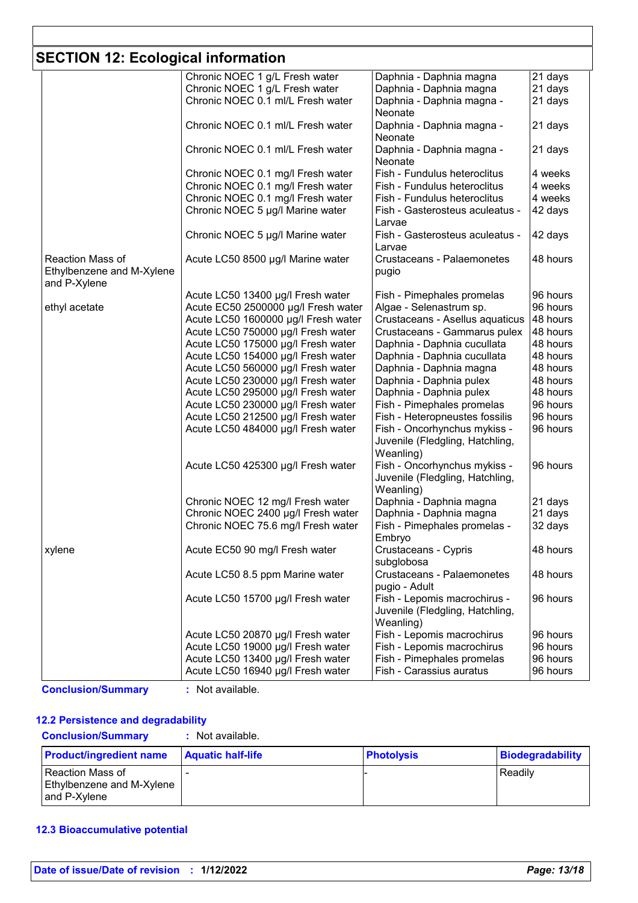# **SECTION 12: Ecological information**

|                           | Chronic NOEC 1 g/L Fresh water      | Daphnia - Daphnia magna                   | 21 days  |
|---------------------------|-------------------------------------|-------------------------------------------|----------|
|                           | Chronic NOEC 1 g/L Fresh water      | Daphnia - Daphnia magna                   | 21 days  |
|                           | Chronic NOEC 0.1 ml/L Fresh water   | Daphnia - Daphnia magna -                 | 21 days  |
|                           |                                     | Neonate                                   |          |
|                           | Chronic NOEC 0.1 ml/L Fresh water   | Daphnia - Daphnia magna -                 | 21 days  |
|                           |                                     | Neonate                                   |          |
|                           | Chronic NOEC 0.1 ml/L Fresh water   | Daphnia - Daphnia magna -                 | 21 days  |
|                           |                                     | Neonate                                   |          |
|                           | Chronic NOEC 0.1 mg/l Fresh water   | Fish - Fundulus heteroclitus              | 4 weeks  |
|                           | Chronic NOEC 0.1 mg/l Fresh water   |                                           | 4 weeks  |
|                           |                                     | Fish - Fundulus heteroclitus              |          |
|                           | Chronic NOEC 0.1 mg/l Fresh water   | Fish - Fundulus heteroclitus              | 4 weeks  |
|                           | Chronic NOEC 5 µg/l Marine water    | Fish - Gasterosteus aculeatus -<br>Larvae | 42 days  |
|                           | Chronic NOEC 5 µg/l Marine water    | Fish - Gasterosteus aculeatus -           | 42 days  |
|                           |                                     | Larvae                                    |          |
| Reaction Mass of          | Acute LC50 8500 µg/l Marine water   | Crustaceans - Palaemonetes                | 48 hours |
|                           |                                     |                                           |          |
| Ethylbenzene and M-Xylene |                                     | pugio                                     |          |
| and P-Xylene              |                                     |                                           |          |
|                           | Acute LC50 13400 µg/l Fresh water   | Fish - Pimephales promelas                | 96 hours |
| ethyl acetate             | Acute EC50 2500000 µg/l Fresh water | Algae - Selenastrum sp.                   | 96 hours |
|                           | Acute LC50 1600000 µg/l Fresh water | Crustaceans - Asellus aquaticus           | 48 hours |
|                           | Acute LC50 750000 µg/l Fresh water  | Crustaceans - Gammarus pulex              | 48 hours |
|                           | Acute LC50 175000 µg/l Fresh water  | Daphnia - Daphnia cucullata               | 48 hours |
|                           | Acute LC50 154000 µg/l Fresh water  | Daphnia - Daphnia cucullata               | 48 hours |
|                           | Acute LC50 560000 µg/l Fresh water  | Daphnia - Daphnia magna                   | 48 hours |
|                           | Acute LC50 230000 µg/l Fresh water  | Daphnia - Daphnia pulex                   | 48 hours |
|                           | Acute LC50 295000 µg/l Fresh water  | Daphnia - Daphnia pulex                   | 48 hours |
|                           | Acute LC50 230000 µg/l Fresh water  | Fish - Pimephales promelas                | 96 hours |
|                           |                                     |                                           | 96 hours |
|                           | Acute LC50 212500 µg/l Fresh water  | Fish - Heteropneustes fossilis            |          |
|                           | Acute LC50 484000 µg/l Fresh water  | Fish - Oncorhynchus mykiss -              | 96 hours |
|                           |                                     | Juvenile (Fledgling, Hatchling,           |          |
|                           |                                     | Weanling)                                 |          |
|                           | Acute LC50 425300 µg/l Fresh water  | Fish - Oncorhynchus mykiss -              | 96 hours |
|                           |                                     | Juvenile (Fledgling, Hatchling,           |          |
|                           |                                     | Weanling)                                 |          |
|                           | Chronic NOEC 12 mg/l Fresh water    | Daphnia - Daphnia magna                   | 21 days  |
|                           | Chronic NOEC 2400 µg/l Fresh water  | Daphnia - Daphnia magna                   | 21 days  |
|                           | Chronic NOEC 75.6 mg/l Fresh water  | Fish - Pimephales promelas -              | 32 days  |
|                           |                                     | Embryo                                    |          |
|                           |                                     |                                           |          |
| xylene                    | Acute EC50 90 mg/l Fresh water      | Crustaceans - Cypris                      | 48 hours |
|                           |                                     | subglobosa                                |          |
|                           | Acute LC50 8.5 ppm Marine water     | <b>Crustaceans - Palaemonetes</b>         | 48 hours |
|                           |                                     | pugio - Adult                             |          |
|                           | Acute LC50 15700 µg/l Fresh water   | Fish - Lepomis macrochirus -              | 96 hours |
|                           |                                     | Juvenile (Fledgling, Hatchling,           |          |
|                           |                                     | Weanling)                                 |          |
|                           | Acute LC50 20870 µg/l Fresh water   | Fish - Lepomis macrochirus                | 96 hours |
|                           | Acute LC50 19000 µg/l Fresh water   | Fish - Lepomis macrochirus                | 96 hours |
|                           |                                     |                                           | 96 hours |
|                           | Acute LC50 13400 µg/l Fresh water   | Fish - Pimephales promelas                |          |
|                           | Acute LC50 16940 µg/l Fresh water   | Fish - Carassius auratus                  | 96 hours |

**Conclusion/Summary :** Not available.

#### **12.2 Persistence and degradability**

| <b>Conclusion/Summary</b><br>: Not available.                 |                          |                   |                  |
|---------------------------------------------------------------|--------------------------|-------------------|------------------|
| <b>Product/ingredient name</b>                                | <b>Aquatic half-life</b> | <b>Photolysis</b> | Biodegradability |
| Reaction Mass of<br>Ethylbenzene and M-Xylene<br>and P-Xvlene |                          |                   | Readily          |

#### **12.3 Bioaccumulative potential**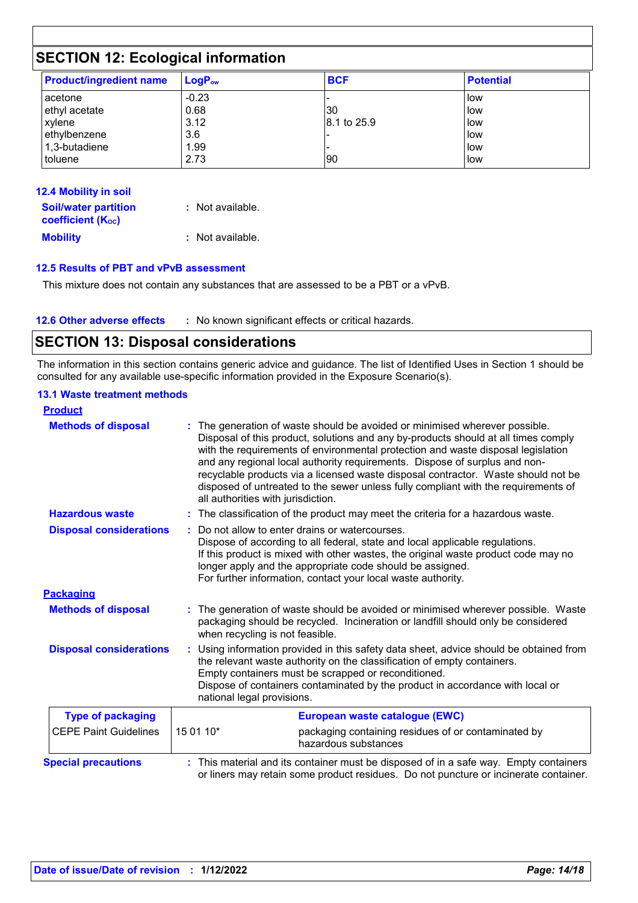# **SECTION 12: Ecological information**

| <b>Product/ingredient name</b> | $LogP_{ow}$ | <b>BCF</b>  | <b>Potential</b> |
|--------------------------------|-------------|-------------|------------------|
| l acetone                      | $-0.23$     |             | l low            |
| ethyl acetate                  | 0.68        | 30          | low              |
| xylene                         | 3.12        | 8.1 to 25.9 | low              |
| ethylbenzene                   | 3.6         |             | low              |
| 1,3-butadiene                  | 1.99        |             | low              |
| toluene                        | 2.73        | 90          | low              |

| <b>12.4 Mobility in soil</b>                                         |                  |
|----------------------------------------------------------------------|------------------|
| <b>Soil/water partition</b><br><b>coefficient</b> (K <sub>oc</sub> ) | : Not available. |
|                                                                      |                  |
| <b>Mobility</b>                                                      | : Not available. |

#### **12.5 Results of PBT and vPvB assessment**

This mixture does not contain any substances that are assessed to be a PBT or a vPvB.

| <b>12.6 Other adverse effects</b><br>No known significant effects or critical hazards. |
|----------------------------------------------------------------------------------------|
|----------------------------------------------------------------------------------------|

## **SECTION 13: Disposal considerations**

The information in this section contains generic advice and guidance. The list of Identified Uses in Section 1 should be consulted for any available use-specific information provided in the Exposure Scenario(s).

#### **13.1 Waste treatment methods**

| <b>Product</b>                 |                                                                                                                                                                                                                                                                                                                                                                                                                                                                                                                                                    |
|--------------------------------|----------------------------------------------------------------------------------------------------------------------------------------------------------------------------------------------------------------------------------------------------------------------------------------------------------------------------------------------------------------------------------------------------------------------------------------------------------------------------------------------------------------------------------------------------|
| <b>Methods of disposal</b>     | The generation of waste should be avoided or minimised wherever possible.<br>Disposal of this product, solutions and any by-products should at all times comply<br>with the requirements of environmental protection and waste disposal legislation<br>and any regional local authority requirements. Dispose of surplus and non-<br>recyclable products via a licensed waste disposal contractor. Waste should not be<br>disposed of untreated to the sewer unless fully compliant with the requirements of<br>all authorities with jurisdiction. |
| <b>Hazardous waste</b>         | : The classification of the product may meet the criteria for a hazardous waste.                                                                                                                                                                                                                                                                                                                                                                                                                                                                   |
| <b>Disposal considerations</b> | Do not allow to enter drains or watercourses.<br>Dispose of according to all federal, state and local applicable regulations.<br>If this product is mixed with other wastes, the original waste product code may no<br>longer apply and the appropriate code should be assigned.<br>For further information, contact your local waste authority.                                                                                                                                                                                                   |
| <b>Packaging</b>               |                                                                                                                                                                                                                                                                                                                                                                                                                                                                                                                                                    |
| <b>Methods of disposal</b>     | The generation of waste should be avoided or minimised wherever possible. Waste<br>packaging should be recycled. Incineration or landfill should only be considered<br>when recycling is not feasible.                                                                                                                                                                                                                                                                                                                                             |
| <b>Disposal considerations</b> | Using information provided in this safety data sheet, advice should be obtained from<br>the relevant waste authority on the classification of empty containers.<br>Empty containers must be scrapped or reconditioned.<br>Dispose of containers contaminated by the product in accordance with local or<br>national legal provisions.                                                                                                                                                                                                              |
| <b>Type of packaging</b>       | European waste catalogue (EWC)                                                                                                                                                                                                                                                                                                                                                                                                                                                                                                                     |
| <b>CEPE Paint Guidelines</b>   | 15 01 10*<br>packaging containing residues of or contaminated by<br>hazardous substances                                                                                                                                                                                                                                                                                                                                                                                                                                                           |
| <b>Special precautions</b>     | : This material and its container must be disposed of in a safe way. Empty containers<br>or liners may retain some product residues. Do not puncture or incinerate container.                                                                                                                                                                                                                                                                                                                                                                      |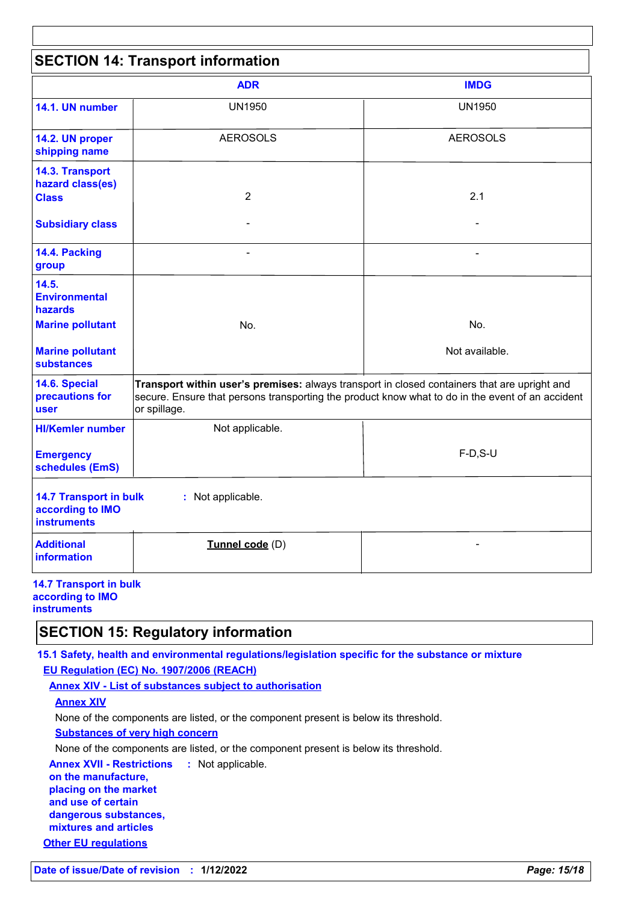|                                                                         | <b>SECTION 14: Transport information</b>                                                                                                                                                                         |                       |
|-------------------------------------------------------------------------|------------------------------------------------------------------------------------------------------------------------------------------------------------------------------------------------------------------|-----------------------|
|                                                                         | <b>ADR</b>                                                                                                                                                                                                       | <b>IMDG</b>           |
| 14.1. UN number                                                         | <b>UN1950</b>                                                                                                                                                                                                    | <b>UN1950</b>         |
| 14.2. UN proper<br>shipping name                                        | <b>AEROSOLS</b>                                                                                                                                                                                                  | <b>AEROSOLS</b>       |
| 14.3. Transport<br>hazard class(es)<br><b>Class</b>                     | $\overline{2}$                                                                                                                                                                                                   | 2.1                   |
| <b>Subsidiary class</b>                                                 |                                                                                                                                                                                                                  |                       |
| 14.4. Packing<br>group                                                  | $\blacksquare$                                                                                                                                                                                                   | -                     |
| 14.5.<br><b>Environmental</b><br>hazards                                |                                                                                                                                                                                                                  |                       |
| <b>Marine pollutant</b><br><b>Marine pollutant</b>                      | No.                                                                                                                                                                                                              | No.<br>Not available. |
| <b>substances</b>                                                       |                                                                                                                                                                                                                  |                       |
| 14.6. Special<br>precautions for<br><b>user</b>                         | Transport within user's premises: always transport in closed containers that are upright and<br>secure. Ensure that persons transporting the product know what to do in the event of an accident<br>or spillage. |                       |
| <b>HI/Kemler number</b>                                                 | Not applicable.                                                                                                                                                                                                  |                       |
| <b>Emergency</b><br>schedules (EmS)                                     |                                                                                                                                                                                                                  | $F-D, S-U$            |
| <b>14.7 Transport in bulk</b><br>according to IMO<br><b>instruments</b> | : Not applicable.                                                                                                                                                                                                |                       |
| <b>Additional</b><br><b>information</b>                                 | Tunnel code (D)                                                                                                                                                                                                  |                       |

### **SECTION 15: Regulatory information**

**15.1 Safety, health and environmental regulations/legislation specific for the substance or mixture EU Regulation (EC) No. 1907/2006 (REACH)**

**Annex XIV - List of substances subject to authorisation**

#### **Annex XIV**

None of the components are listed, or the component present is below its threshold.

**Substances of very high concern**

None of the components are listed, or the component present is below its threshold.

**Annex XVII - Restrictions :** Not applicable.

**on the manufacture, placing on the market and use of certain dangerous substances, mixtures and articles**

**Other EU regulations**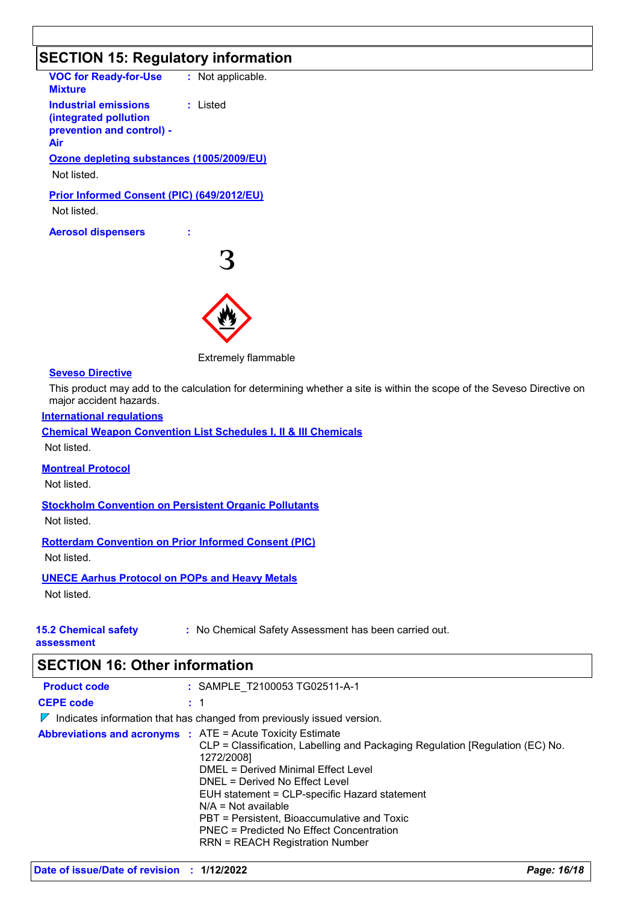# **SECTION 15: Regulatory information**

| <b>VOC for Ready-for-Use : Not applicable.</b><br><b>Mixture</b>                                  |   |  |
|---------------------------------------------------------------------------------------------------|---|--|
| <b>Industrial emissions : Listed</b><br>(integrated pollution<br>prevention and control) -<br>Air |   |  |
| Ozone depleting substances (1005/2009/EU)                                                         |   |  |
| Not listed.                                                                                       |   |  |
| Prior Informed Consent (PIC) (649/2012/EU)                                                        |   |  |
| Not listed.                                                                                       |   |  |
| <b>Aerosol dispensers</b>                                                                         |   |  |
|                                                                                                   | マ |  |
|                                                                                                   |   |  |

Extremely flammable

#### **Seveso Directive**

This product may add to the calculation for determining whether a site is within the scope of the Seveso Directive on major accident hazards.

#### **International regulations**

**Chemical Weapon Convention List Schedules I, II & III Chemicals** Not listed.

#### **Montreal Protocol**

Not listed.

#### **Stockholm Convention on Persistent Organic Pollutants**

Not listed.

#### **Rotterdam Convention on Prior Informed Consent (PIC)**

Not listed.

#### **UNECE Aarhus Protocol on POPs and Heavy Metals**

Not listed.

#### **15.2 Chemical safety**

**:** No Chemical Safety Assessment has been carried out.

**assessment**

## **SECTION 16: Other information**

| <b>Product code</b>                                                                    |  | : SAMPLE T2100053 TG02511-A-1                                                                                                                                                                                                                                                                                                                                                |  |
|----------------------------------------------------------------------------------------|--|------------------------------------------------------------------------------------------------------------------------------------------------------------------------------------------------------------------------------------------------------------------------------------------------------------------------------------------------------------------------------|--|
| <b>CEPE code</b>                                                                       |  | : 1                                                                                                                                                                                                                                                                                                                                                                          |  |
| Indicates information that has changed from previously issued version.<br>$\mathbb{Z}$ |  |                                                                                                                                                                                                                                                                                                                                                                              |  |
| <b>Abbreviations and acronyms : ATE = Acute Toxicity Estimate</b>                      |  | CLP = Classification, Labelling and Packaging Regulation [Regulation (EC) No.<br>1272/2008]<br>DMEL = Derived Minimal Effect Level<br>DNEL = Derived No Effect Level<br>EUH statement = CLP-specific Hazard statement<br>$N/A = Not available$<br>PBT = Persistent, Bioaccumulative and Toxic<br>PNEC = Predicted No Effect Concentration<br>RRN = REACH Registration Number |  |
|                                                                                        |  |                                                                                                                                                                                                                                                                                                                                                                              |  |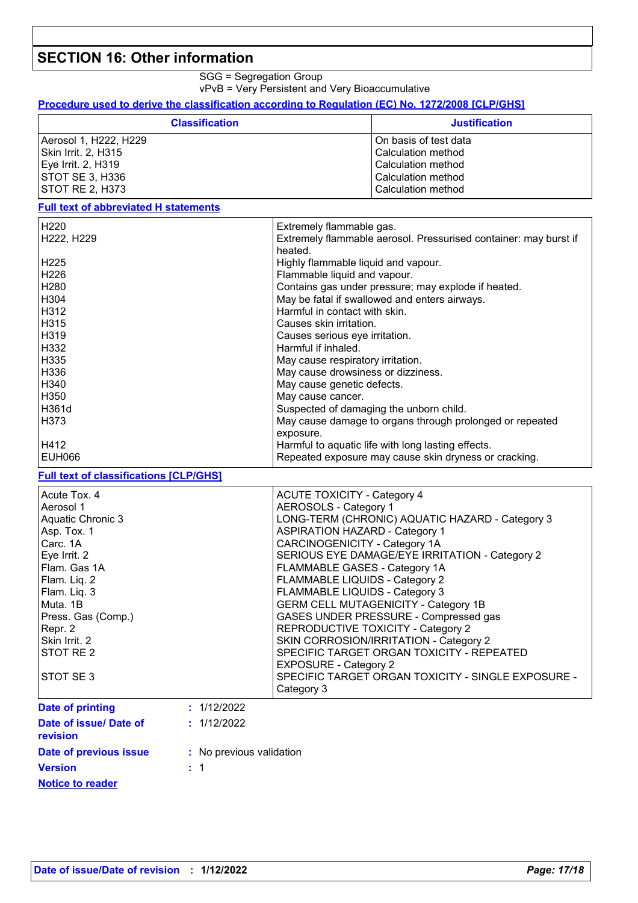## **SECTION 16: Other information**

SGG = Segregation Group

vPvB = Very Persistent and Very Bioaccumulative

**Procedure used to derive the classification according to Regulation (EC) No. 1272/2008 [CLP/GHS]**

| <b>Classification</b>  | <b>Justification</b>  |
|------------------------|-----------------------|
| Aerosol 1, H222, H229  | On basis of test data |
| Skin Irrit. 2, H315    | Calculation method    |
| Eye Irrit. 2, H319     | Calculation method    |
| <b>STOT SE 3, H336</b> | Calculation method    |
| I STOT RE 2. H373      | Calculation method    |

#### **Full text of abbreviated H statements**

| H <sub>220</sub>  | Extremely flammable gas.                                         |
|-------------------|------------------------------------------------------------------|
| H222, H229        | Extremely flammable aerosol. Pressurised container: may burst if |
|                   | heated.                                                          |
| H <sub>225</sub>  | Highly flammable liquid and vapour.                              |
| H <sub>226</sub>  | Flammable liquid and vapour.                                     |
| H <sub>280</sub>  | Contains gas under pressure; may explode if heated.              |
| H <sub>304</sub>  | May be fatal if swallowed and enters airways.                    |
| H312              | Harmful in contact with skin.                                    |
| H315              | Causes skin irritation.                                          |
| H <sub>3</sub> 19 | Causes serious eye irritation.                                   |
| H332              | Harmful if inhaled.                                              |
| H335              | May cause respiratory irritation.                                |
| H336              | May cause drowsiness or dizziness.                               |
| H340              | May cause genetic defects.                                       |
| H <sub>350</sub>  | May cause cancer.                                                |
| H361d             | Suspected of damaging the unborn child.                          |
| H373              | May cause damage to organs through prolonged or repeated         |
|                   | exposure.                                                        |
| H412              | Harmful to aquatic life with long lasting effects.               |
| <b>EUH066</b>     | Repeated exposure may cause skin dryness or cracking.            |

### **Full text of classifications [CLP/GHS]**

| Acute Tox. 4<br>Aerosol 1<br>Aquatic Chronic 3<br>Asp. Tox. 1 |                          | <b>ACUTE TOXICITY - Category 4</b><br><b>AEROSOLS - Category 1</b><br>LONG-TERM (CHRONIC) AQUATIC HAZARD - Category 3<br><b>ASPIRATION HAZARD - Category 1</b> |  |
|---------------------------------------------------------------|--------------------------|----------------------------------------------------------------------------------------------------------------------------------------------------------------|--|
| Carc. 1A                                                      |                          | CARCINOGENICITY - Category 1A                                                                                                                                  |  |
| Eye Irrit. 2                                                  |                          | SERIOUS EYE DAMAGE/EYE IRRITATION - Category 2                                                                                                                 |  |
| Flam. Gas 1A                                                  |                          | FLAMMABLE GASES - Category 1A                                                                                                                                  |  |
| Flam. Liq. 2                                                  |                          | FLAMMABLE LIQUIDS - Category 2                                                                                                                                 |  |
| Flam. Liq. 3                                                  |                          | FLAMMABLE LIQUIDS - Category 3                                                                                                                                 |  |
| Muta, 1B                                                      |                          | <b>GERM CELL MUTAGENICITY - Category 1B</b>                                                                                                                    |  |
| Press. Gas (Comp.)                                            |                          | GASES UNDER PRESSURE - Compressed gas                                                                                                                          |  |
| Repr. 2                                                       |                          | REPRODUCTIVE TOXICITY - Category 2                                                                                                                             |  |
| Skin Irrit. 2                                                 |                          | SKIN CORROSION/IRRITATION - Category 2                                                                                                                         |  |
| STOT RE <sub>2</sub>                                          |                          | SPECIFIC TARGET ORGAN TOXICITY - REPEATED<br><b>EXPOSURE - Category 2</b>                                                                                      |  |
| STOT SE 3                                                     |                          | SPECIFIC TARGET ORGAN TOXICITY - SINGLE EXPOSURE -<br>Category 3                                                                                               |  |
| <b>Date of printing</b>                                       | : 1/12/2022              |                                                                                                                                                                |  |
| Date of issue/ Date of<br>revision                            | : 1/12/2022              |                                                                                                                                                                |  |
| Date of previous issue                                        | : No previous validation |                                                                                                                                                                |  |
| <b>Version</b>                                                | :1                       |                                                                                                                                                                |  |

**Notice to reader**